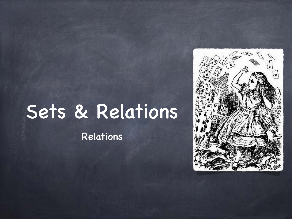# Sets & Relations

Relations

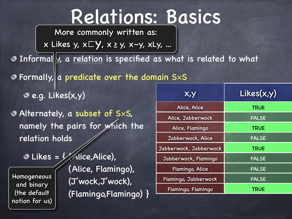### Relations: Basics

More commonly written as:

x Likes y, x⊏y, x <sup>≥</sup> y, x~y, xLy, ...

**O** Informally, a relation is specified as what is related to what

 $\bullet$  Formally, a predicate over the domain S $\times$ S

e.g. Likes(x,y)

Alternately, a subset of S×S, namely the pairs for which the relation holds

**Homogeneous** and binary (the default notion for us)

 $\bullet$  Likes =  $\frac{1}{2}$  Alice, Alice), (Alice, Flamingo), (J'wock,J'wock), (Flamingo,Flamingo) }

| <b>х,у</b>             | Likes(x,y)   |
|------------------------|--------------|
| Alice, Alice           | <b>TRUE</b>  |
| Alice, Jabberwock      | <b>FALSE</b> |
| Alice, Flamingo        | <b>TRUE</b>  |
| Jabberwock, Alice      | <b>FALSE</b> |
| Jabberwock, Jabberwock | <b>TRUE</b>  |
| Jabberwock, Flamingo   | <b>FALSE</b> |
| Flamingo, Alice        | <b>FALSE</b> |
| Flamingo, Jabberwock   | <b>FALSE</b> |
| Flamingo, Flamingo     | <b>TRUE</b>  |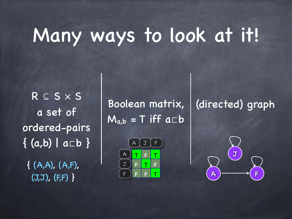## Many ways to look at it!

R ⊆ S × S a set of ordered-pairs { (a,b) | a⊏b }  ${ (A,A), (A,F),}$ (J,J), (F,F) }

Boolean matrix,  $M_{a,b}$  = T iff  $a \Box b$ 





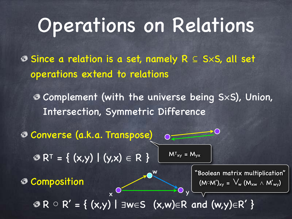## Operations on Relations

Since a relation is a set, namely R ⊆ S×S, all set operations extend to relations

Complement (with the universe being S×S), Union, Intersection, Symmetric Difference

Converse (a.k.a. Transpose)  $R^T = \{ (x,y) | (y,x) \in R \}$ Composition  $\mathcal{B} \cap R \cap R' = \{ (x,y) \mid \exists w \in S \ (x,w) \in R \text{ and } (w,y) \in R' \}$  $x \xrightarrow{C} y$ "Boolean matrix multiplication"  $(M \circ M')_{xy} = V_w (M_{xw} \wedge M'_{wy})$  $M<sup>T</sup>_{xy} = M<sub>yx</sub>$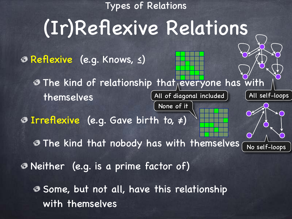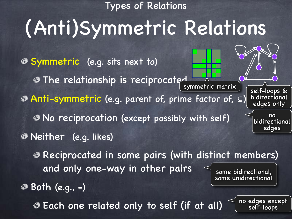Types of Relations

## (Anti)Symmetric Relations

Symmetric (e.g. sits next to) The relationship is reciprocated Anti-symmetric (e.g. parent of, prime factor of, ⊆) No reciprocation (except possibly with self) Neither (e.g. likes) Reciprocated in some pairs (with distinct members) and only one-way in other pairs  $symmetric$  matrix  $\overline{\smash{\big)}\,}$   $\overline{\smash{\big)}\,}$  self-loops & bidirectional edges only no bidirectional edges some bidirectional, some unidirectional

Both (e.g., =)

Each one related only to self (if at all)

no edges except self-loops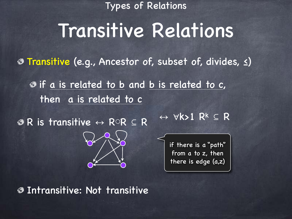Types of Relations

### Transitive Relations

Transitive (e.g., Ancestor of, subset of, divides, ≤)

**If a is related to b and b is related to c,** then a is related to c

R is transitive ↔ R○R ⊆ R



↔ ∀k>1 R<sup>k</sup> ⊆ R

if there is a "path" from a to z, then there is edge (a,z)

Intransitive: Not transitive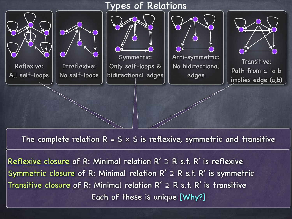

The complete relation  $R = S \times S$  is reflexive, symmetric and transitive

Reflexive closure of R: Minimal relation  $R' \supseteq R$  s.t. R' is reflexive Symmetric closure of R: Minimal relation  $R' \supseteq R$  s.t. R' is symmetric Transitive closure of R: Minimal relation  $R' \supseteq R$  s.t. R' is transitive Each of these is unique [Why?]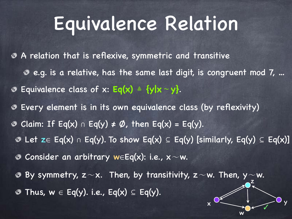### Equivalence Relation

A relation that is reflexive, symmetric and transitive e.g. is a relative, has the same last digit, is congruent mod 7, … Equivalence class of x: **Eq(x)** ≜ **{y|x∼y}**. Every element is in its own equivalence class (by reflexivity) Claim: If Eq(x) ∩ Eq(y)  $\neq \emptyset$ , then Eq(x) = Eq(y). ◉ © Let z∈ Eq(x) ∩ Eq(y). To show Eq(x)  $\subseteq$  Eq(y) [similarly, Eq(y)  $\subseteq$  Eq(x)] Consider an arbitrary w∈Eq(x): i.e., x∼w. By symmetry, z $\sim$ x. Then, by transitivity, z $\sim$ w. Then, y $\sim$ w. z Thus,  $w \in Eq(y)$ . i.e., Eq(x)  $\subseteq Eq(y)$ . ◈

 $x \rightarrow y$ 

✓

w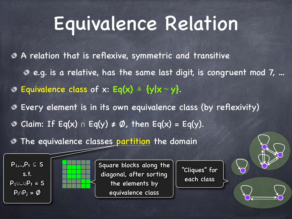## Equivalence Relation

A relation that is reflexive, symmetric and transitive e.g. is a relative, has the same last digit, is congruent mod 7, … Equivalence class of x: **Eq(x)** ≜ **{y|x∼y}**. Every element is in its own equivalence class (by reflexivity)  $\odot$  Claim: If Eq(x) ∩ Eq(y) ≠ Ø, then Eq(x) = Eq(y). **The equivalence classes partition the domain** 





Square blocks along the diagonal, after sorting the elements by equivalence class

"Cliques" for each class